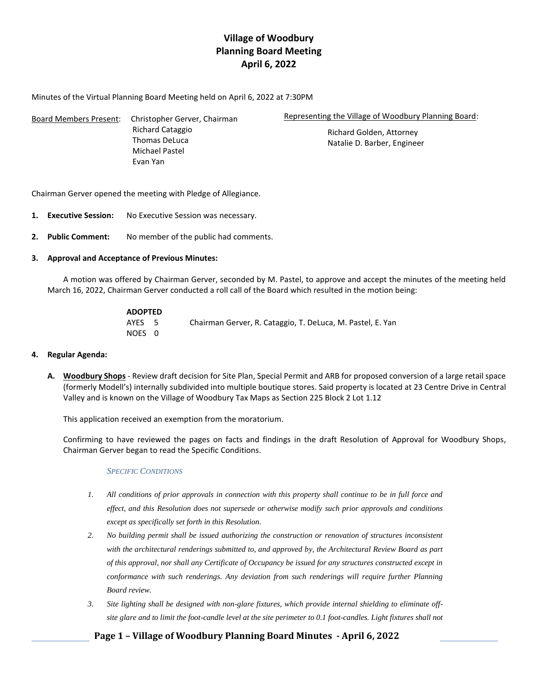# **Village of Woodbury Planning Board Meeting April 6, 2022**

Minutes of the Virtual Planning Board Meeting held on April 6, 2022 at 7:30PM

| Board Members Present: | Christopher Gerver, Chairman | Representing the Village of Woodbury Planning Board: |  |
|------------------------|------------------------------|------------------------------------------------------|--|
|                        | Richard Cataggio             | Richard Golden, Attorney                             |  |
|                        | Thomas DeLuca                | Natalie D. Barber, Engineer                          |  |
|                        | Michael Pastel               |                                                      |  |
|                        | Evan Yan                     |                                                      |  |

Chairman Gerver opened the meeting with Pledge of Allegiance.

- **1. Executive Session:** No Executive Session was necessary.
- **2. Public Comment:** No member of the public had comments.

### **3. Approval and Acceptance of Previous Minutes:**

A motion was offered by Chairman Gerver, seconded by M. Pastel, to approve and accept the minutes of the meeting held March 16, 2022, Chairman Gerver conducted a roll call of the Board which resulted in the motion being:

| <b>ADOPTED</b> |                                                            |
|----------------|------------------------------------------------------------|
| AYES 5         | Chairman Gerver, R. Cataggio, T. DeLuca, M. Pastel, E. Yan |
| NOES 0         |                                                            |

### **4. Regular Agenda:**

**A. Woodbury Shops** - Review draft decision for Site Plan, Special Permit and ARB for proposed conversion of a large retail space (formerly Modell's) internally subdivided into multiple boutique stores. Said property is located at 23 Centre Drive in Central Valley and is known on the Village of Woodbury Tax Maps as Section 225 Block 2 Lot 1.12

This application received an exemption from the moratorium.

Confirming to have reviewed the pages on facts and findings in the draft Resolution of Approval for Woodbury Shops, Chairman Gerver began to read the Specific Conditions.

### *SPECIFIC CONDITIONS*

- *1. All conditions of prior approvals in connection with this property shall continue to be in full force and effect, and this Resolution does not supersede or otherwise modify such prior approvals and conditions except as specifically set forth in this Resolution.*
- *2. No building permit shall be issued authorizing the construction or renovation of structures inconsistent with the architectural renderings submitted to, and approved by, the Architectural Review Board as part of this approval, nor shall any Certificate of Occupancy be issued for any structures constructed except in conformance with such renderings. Any deviation from such renderings will require further Planning Board review.*
- *3. Site lighting shall be designed with non-glare fixtures, which provide internal shielding to eliminate offsite glare and to limit the foot-candle level at the site perimeter to 0.1 foot-candles. Light fixtures shall not*

## **Page 1 – Village of Woodbury Planning Board Minutes - April 6, 2022**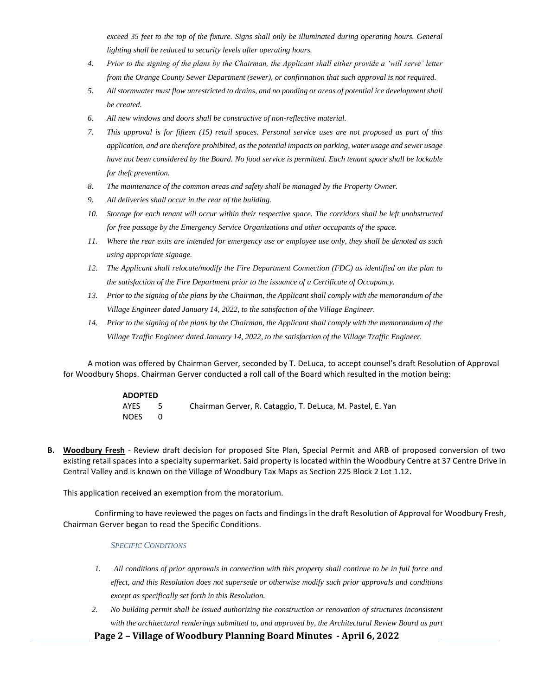*exceed 35 feet to the top of the fixture. Signs shall only be illuminated during operating hours. General lighting shall be reduced to security levels after operating hours.* 

- *4. Prior to the signing of the plans by the Chairman, the Applicant shall either provide a 'will serve' letter from the Orange County Sewer Department (sewer), or confirmation that such approval is not required.*
- *5. All stormwater must flow unrestricted to drains, and no ponding or areas of potential ice development shall be created.*
- *6. All new windows and doors shall be constructive of non-reflective material.*
- *7. This approval is for fifteen (15) retail spaces. Personal service uses are not proposed as part of this application, and are therefore prohibited, as the potential impacts on parking, water usage and sewer usage have not been considered by the Board. No food service is permitted. Each tenant space shall be lockable for theft prevention.*
- *8. The maintenance of the common areas and safety shall be managed by the Property Owner.*
- *9. All deliveries shall occur in the rear of the building.*
- *10. Storage for each tenant will occur within their respective space. The corridors shall be left unobstructed for free passage by the Emergency Service Organizations and other occupants of the space.*
- *11. Where the rear exits are intended for emergency use or employee use only, they shall be denoted as such using appropriate signage.*
- *12. The Applicant shall relocate/modify the Fire Department Connection (FDC) as identified on the plan to the satisfaction of the Fire Department prior to the issuance of a Certificate of Occupancy.*
- *13. Prior to the signing of the plans by the Chairman, the Applicant shall comply with the memorandum of the Village Engineer dated January 14, 2022, to the satisfaction of the Village Engineer.*
- *14. Prior to the signing of the plans by the Chairman, the Applicant shall comply with the memorandum of the Village Traffic Engineer dated January 14, 2022, to the satisfaction of the Village Traffic Engineer.*

A motion was offered by Chairman Gerver, seconded by T. DeLuca, to accept counsel's draft Resolution of Approval for Woodbury Shops. Chairman Gerver conducted a roll call of the Board which resulted in the motion being:

| <b>ADOPTED</b> |                                                            |
|----------------|------------------------------------------------------------|
| AYES           | Chairman Gerver, R. Cataggio, T. DeLuca, M. Pastel, E. Yan |
| <b>NOES</b>    |                                                            |

**B. Woodbury Fresh** - Review draft decision for proposed Site Plan, Special Permit and ARB of proposed conversion of two existing retail spaces into a specialty supermarket. Said property is located within the Woodbury Centre at 37 Centre Drive in Central Valley and is known on the Village of Woodbury Tax Maps as Section 225 Block 2 Lot 1.12.

This application received an exemption from the moratorium.

Confirming to have reviewed the pages on facts and findingsin the draft Resolution of Approval for Woodbury Fresh, Chairman Gerver began to read the Specific Conditions.

#### *SPECIFIC CONDITIONS*

- *1. All conditions of prior approvals in connection with this property shall continue to be in full force and effect, and this Resolution does not supersede or otherwise modify such prior approvals and conditions except as specifically set forth in this Resolution.*
- *2. No building permit shall be issued authorizing the construction or renovation of structures inconsistent*  with the architectural renderings submitted to, and approved by, the Architectural Review Board as part

**Page 2 – Village of Woodbury Planning Board Minutes - April 6, 2022**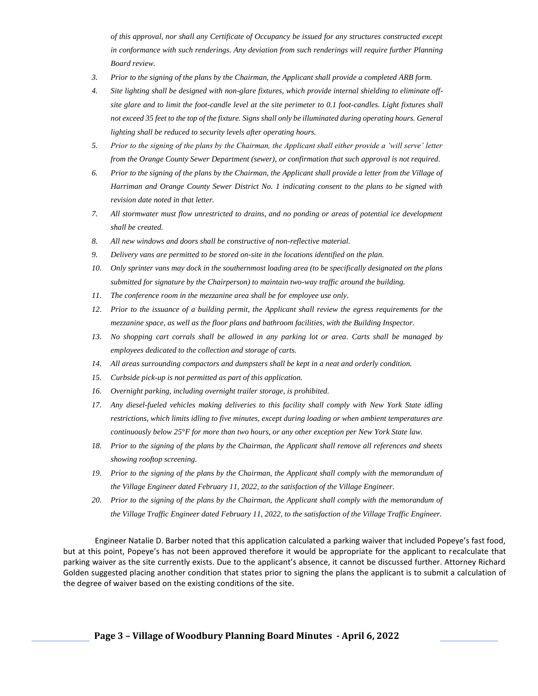*of this approval, nor shall any Certificate of Occupancy be issued for any structures constructed except in conformance with such renderings. Any deviation from such renderings will require further Planning Board review.*

- *3. Prior to the signing of the plans by the Chairman, the Applicant shall provide a completed ARB form.*
- *4. Site lighting shall be designed with non-glare fixtures, which provide internal shielding to eliminate offsite glare and to limit the foot-candle level at the site perimeter to 0.1 foot-candles. Light fixtures shall not exceed 35 feet to the top of the fixture. Signs shall only be illuminated during operating hours. General lighting shall be reduced to security levels after operating hours.*
- *5. Prior to the signing of the plans by the Chairman, the Applicant shall either provide a 'will serve' letter from the Orange County Sewer Department (sewer), or confirmation that such approval is not required.*
- *6. Prior to the signing of the plans by the Chairman, the Applicant shall provide a letter from the Village of Harriman and Orange County Sewer District No. 1 indicating consent to the plans to be signed with revision date noted in that letter.*
- *7. All stormwater must flow unrestricted to drains, and no ponding or areas of potential ice development shall be created.*
- *8. All new windows and doors shall be constructive of non-reflective material.*
- *9. Delivery vans are permitted to be stored on-site in the locations identified on the plan.*
- *10. Only sprinter vans may dock in the southernmost loading area (to be specifically designated on the plans submitted for signature by the Chairperson) to maintain two-way traffic around the building.*
- *11. The conference room in the mezzanine area shall be for employee use only.*
- *12. Prior to the issuance of a building permit, the Applicant shall review the egress requirements for the mezzanine space, as well as the floor plans and bathroom facilities, with the Building Inspector.*
- *13. No shopping cart corrals shall be allowed in any parking lot or area. Carts shall be managed by employees dedicated to the collection and storage of carts.*
- *14. All areas surrounding compactors and dumpsters shall be kept in a neat and orderly condition.*
- *15. Curbside pick-up is not permitted as part of this application.*
- *16. Overnight parking, including overnight trailer storage, is prohibited.*
- *17. Any diesel-fueled vehicles making deliveries to this facility shall comply with New York State idling restrictions, which limits idling to five minutes, except during loading or when ambient temperatures are continuously below 25°F for more than two hours, or any other exception per New York State law.*
- *18. Prior to the signing of the plans by the Chairman, the Applicant shall remove all references and sheets showing rooftop screening.*
- *19. Prior to the signing of the plans by the Chairman, the Applicant shall comply with the memorandum of the Village Engineer dated February 11, 2022, to the satisfaction of the Village Engineer.*
- *20. Prior to the signing of the plans by the Chairman, the Applicant shall comply with the memorandum of the Village Traffic Engineer dated February 11, 2022, to the satisfaction of the Village Traffic Engineer.*

Engineer Natalie D. Barber noted that this application calculated a parking waiver that included Popeye's fast food, but at this point, Popeye's has not been approved therefore it would be appropriate for the applicant to recalculate that parking waiver as the site currently exists. Due to the applicant's absence, it cannot be discussed further. Attorney Richard Golden suggested placing another condition that states prior to signing the plans the applicant is to submit a calculation of the degree of waiver based on the existing conditions of the site.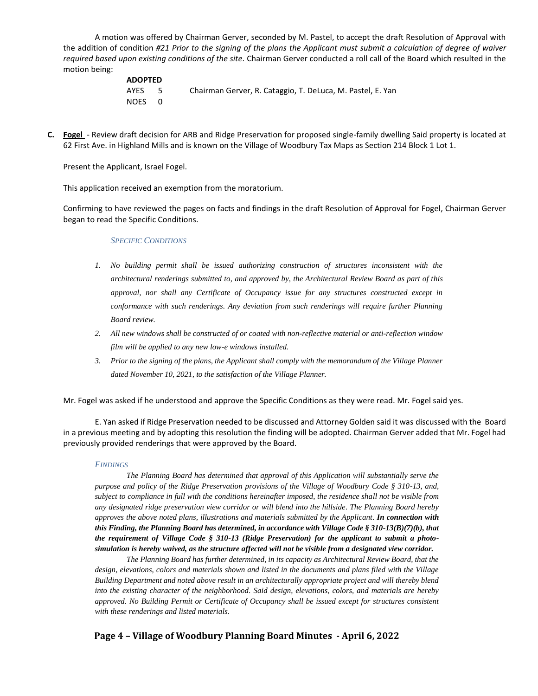A motion was offered by Chairman Gerver, seconded by M. Pastel, to accept the draft Resolution of Approval with the addition of condition *#21 Prior to the signing of the plans the Applicant must submit a calculation of degree of waiver required based upon existing conditions of the site.* Chairman Gerver conducted a roll call of the Board which resulted in the motion being:

| <b>ADOPTED</b> |      |                                                            |
|----------------|------|------------------------------------------------------------|
| AYES           | $-5$ | Chairman Gerver, R. Cataggio, T. DeLuca, M. Pastel, E. Yan |
| NOES 0         |      |                                                            |

**C. Fogel** - Review draft decision for ARB and Ridge Preservation for proposed single-family dwelling Said property is located at 62 First Ave. in Highland Mills and is known on the Village of Woodbury Tax Maps as Section 214 Block 1 Lot 1.

Present the Applicant, Israel Fogel.

This application received an exemption from the moratorium.

Confirming to have reviewed the pages on facts and findings in the draft Resolution of Approval for Fogel, Chairman Gerver began to read the Specific Conditions.

#### *SPECIFIC CONDITIONS*

- *1. No building permit shall be issued authorizing construction of structures inconsistent with the architectural renderings submitted to, and approved by, the Architectural Review Board as part of this approval, nor shall any Certificate of Occupancy issue for any structures constructed except in conformance with such renderings. Any deviation from such renderings will require further Planning Board review.*
- *2. All new windows shall be constructed of or coated with non-reflective material or anti-reflection window film will be applied to any new low-e windows installed.*
- *3. Prior to the signing of the plans, the Applicant shall comply with the memorandum of the Village Planner dated November 10, 2021, to the satisfaction of the Village Planner.*

Mr. Fogel was asked if he understood and approve the Specific Conditions as they were read. Mr. Fogel said yes.

E. Yan asked if Ridge Preservation needed to be discussed and Attorney Golden said it was discussed with the Board in a previous meeting and by adopting this resolution the finding will be adopted. Chairman Gerver added that Mr. Fogel had previously provided renderings that were approved by the Board.

#### *FINDINGS*

*The Planning Board has determined that approval of this Application will substantially serve the purpose and policy of the Ridge Preservation provisions of the Village of Woodbury Code § 310-13, and, subject to compliance in full with the conditions hereinafter imposed, the residence shall not be visible from any designated ridge preservation view corridor or will blend into the hillside. The Planning Board hereby approves the above noted plans, illustrations and materials submitted by the Applicant. In connection with this Finding, the Planning Board has determined, in accordance with Village Code § 310-13(B)(7)(b), that the requirement of Village Code § 310-13 (Ridge Preservation) for the applicant to submit a photosimulation is hereby waived, as the structure affected will not be visible from a designated view corridor.* 

*The Planning Board has further determined, in its capacity as Architectural Review Board, that the design, elevations, colors and materials shown and listed in the documents and plans filed with the Village Building Department and noted above result in an architecturally appropriate project and will thereby blend into the existing character of the neighborhood. Said design, elevations, colors, and materials are hereby approved. No Building Permit or Certificate of Occupancy shall be issued except for structures consistent with these renderings and listed materials.*

### **Page 4 – Village of Woodbury Planning Board Minutes - April 6, 2022**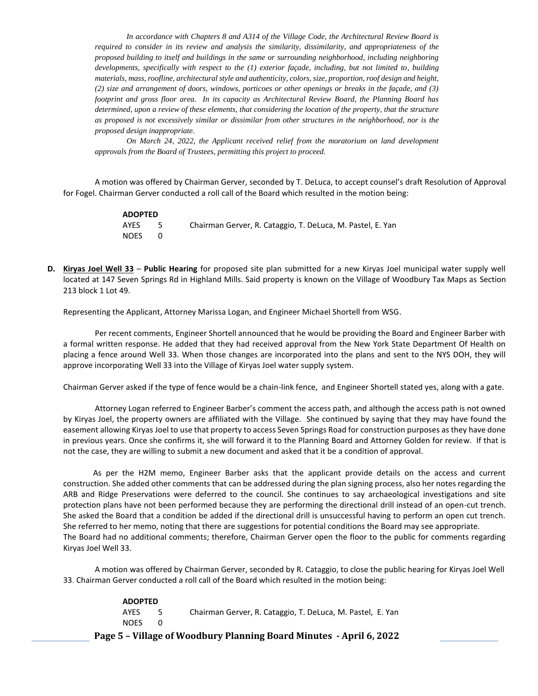*In accordance with Chapters 8 and A314 of the Village Code, the Architectural Review Board is required to consider in its review and analysis the similarity, dissimilarity, and appropriateness of the proposed building to itself and buildings in the same or surrounding neighborhood, including neighboring developments, specifically with respect to the (1) exterior façade, including, but not limited to, building materials, mass, roofline, architectural style and authenticity, colors, size, proportion, roof design and height, (2) size and arrangement of doors, windows, porticoes or other openings or breaks in the façade, and (3) footprint and gross floor area. In its capacity as Architectural Review Board, the Planning Board has determined, upon a review of these elements, that considering the location of the property, that the structure as proposed is not excessively similar or dissimilar from other structures in the neighborhood, nor is the proposed design inappropriate.*

*On March 24, 2022, the Applicant received relief from the moratorium on land development approvals from the Board of Trustees, permitting this project to proceed.*

A motion was offered by Chairman Gerver, seconded by T. DeLuca, to accept counsel's draft Resolution of Approval for Fogel. Chairman Gerver conducted a roll call of the Board which resulted in the motion being:

> **ADOPTED** AYES 5 Chairman Gerver, R. Cataggio, T. DeLuca, M. Pastel, E. Yan NOES 0

**D. Kiryas Joel Well 33** – **Public Hearing** for proposed site plan submitted for a new Kiryas Joel municipal water supply well located at 147 Seven Springs Rd in Highland Mills. Said property is known on the Village of Woodbury Tax Maps as Section 213 block 1 Lot 49.

Representing the Applicant, Attorney Marissa Logan, and Engineer Michael Shortell from WSG.

Per recent comments, Engineer Shortell announced that he would be providing the Board and Engineer Barber with a formal written response. He added that they had received approval from the New York State Department Of Health on placing a fence around Well 33. When those changes are incorporated into the plans and sent to the NYS DOH, they will approve incorporating Well 33 into the Village of Kiryas Joel water supply system.

Chairman Gerver asked if the type of fence would be a chain-link fence, and Engineer Shortell stated yes, along with a gate.

Attorney Logan referred to Engineer Barber's comment the access path, and although the access path is not owned by Kiryas Joel, the property owners are affiliated with the Village. She continued by saying that they may have found the easement allowing Kiryas Joel to use that property to access Seven Springs Road for construction purposes as they have done in previous years. Once she confirms it, she will forward it to the Planning Board and Attorney Golden for review. If that is not the case, they are willing to submit a new document and asked that it be a condition of approval.

 As per the H2M memo, Engineer Barber asks that the applicant provide details on the access and current construction. She added other comments that can be addressed during the plan signing process, also her notes regarding the ARB and Ridge Preservations were deferred to the council. She continues to say archaeological investigations and site protection plans have not been performed because they are performing the directional drill instead of an open-cut trench. She asked the Board that a condition be added if the directional drill is unsuccessful having to perform an open cut trench. She referred to her memo, noting that there are suggestions for potential conditions the Board may see appropriate. The Board had no additional comments; therefore, Chairman Gerver open the floor to the public for comments regarding Kiryas Joel Well 33.

A motion was offered by Chairman Gerver, seconded by R. Cataggio, to close the public hearing for Kiryas Joel Well 33. Chairman Gerver conducted a roll call of the Board which resulted in the motion being:

|                                                                     | <b>ADOPTED</b> |     |                                                            |
|---------------------------------------------------------------------|----------------|-----|------------------------------------------------------------|
|                                                                     | <b>AYFS</b>    | -5. | Chairman Gerver, R. Cataggio, T. DeLuca, M. Pastel, E. Yan |
|                                                                     | NOES.          | റ   |                                                            |
| Page 5 - Village of Woodbury Planning Board Minutes - April 6, 2022 |                |     |                                                            |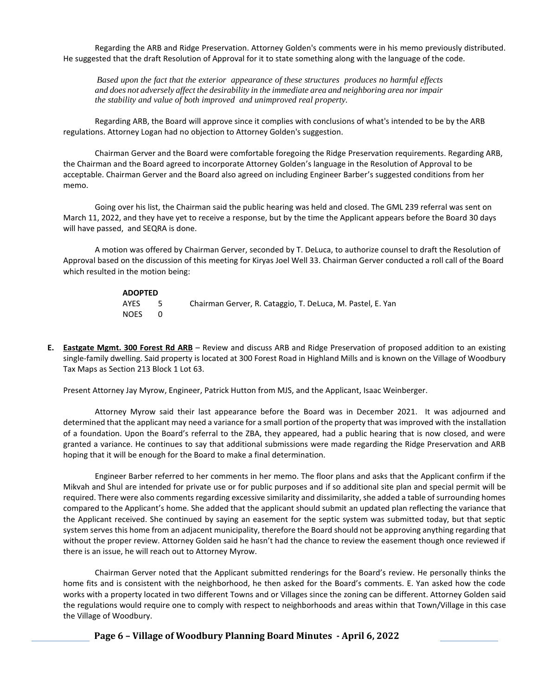Regarding the ARB and Ridge Preservation. Attorney Golden's comments were in his memo previously distributed. He suggested that the draft Resolution of Approval for it to state something along with the language of the code.

*Based upon the fact that the exterior appearance of these structures produces no harmful effects and does not adversely affect the desirability in the immediate area and neighboring area nor impair the stability and value of both improved and unimproved real property.* 

Regarding ARB, the Board will approve since it complies with conclusions of what's intended to be by the ARB regulations. Attorney Logan had no objection to Attorney Golden's suggestion.

Chairman Gerver and the Board were comfortable foregoing the Ridge Preservation requirements. Regarding ARB, the Chairman and the Board agreed to incorporate Attorney Golden's language in the Resolution of Approval to be acceptable. Chairman Gerver and the Board also agreed on including Engineer Barber's suggested conditions from her memo.

Going over his list, the Chairman said the public hearing was held and closed. The GML 239 referral was sent on March 11, 2022, and they have yet to receive a response, but by the time the Applicant appears before the Board 30 days will have passed, and SEQRA is done.

A motion was offered by Chairman Gerver, seconded by T. DeLuca, to authorize counsel to draft the Resolution of Approval based on the discussion of this meeting for Kiryas Joel Well 33. Chairman Gerver conducted a roll call of the Board which resulted in the motion being:

| <b>ADOPTED</b> |     |                                                            |
|----------------|-----|------------------------------------------------------------|
| AYES           | - 5 | Chairman Gerver, R. Cataggio, T. DeLuca, M. Pastel, E. Yan |
| <b>NOES</b>    | - 0 |                                                            |

**E. Eastgate Mgmt. 300 Forest Rd ARB** – Review and discuss ARB and Ridge Preservation of proposed addition to an existing single-family dwelling. Said property is located at 300 Forest Road in Highland Mills and is known on the Village of Woodbury Tax Maps as Section 213 Block 1 Lot 63.

Present Attorney Jay Myrow, Engineer, Patrick Hutton from MJS, and the Applicant, Isaac Weinberger.

Attorney Myrow said their last appearance before the Board was in December 2021. It was adjourned and determined that the applicant may need a variance for a small portion of the property that was improved with the installation of a foundation. Upon the Board's referral to the ZBA, they appeared, had a public hearing that is now closed, and were granted a variance. He continues to say that additional submissions were made regarding the Ridge Preservation and ARB hoping that it will be enough for the Board to make a final determination.

Engineer Barber referred to her comments in her memo. The floor plans and asks that the Applicant confirm if the Mikvah and Shul are intended for private use or for public purposes and if so additional site plan and special permit will be required. There were also comments regarding excessive similarity and dissimilarity, she added a table of surrounding homes compared to the Applicant's home. She added that the applicant should submit an updated plan reflecting the variance that the Applicant received. She continued by saying an easement for the septic system was submitted today, but that septic system serves this home from an adjacent municipality, therefore the Board should not be approving anything regarding that without the proper review. Attorney Golden said he hasn't had the chance to review the easement though once reviewed if there is an issue, he will reach out to Attorney Myrow.

Chairman Gerver noted that the Applicant submitted renderings for the Board's review. He personally thinks the home fits and is consistent with the neighborhood, he then asked for the Board's comments. E. Yan asked how the code works with a property located in two different Towns and or Villages since the zoning can be different. Attorney Golden said the regulations would require one to comply with respect to neighborhoods and areas within that Town/Village in this case the Village of Woodbury.

**Page 6 – Village of Woodbury Planning Board Minutes - April 6, 2022**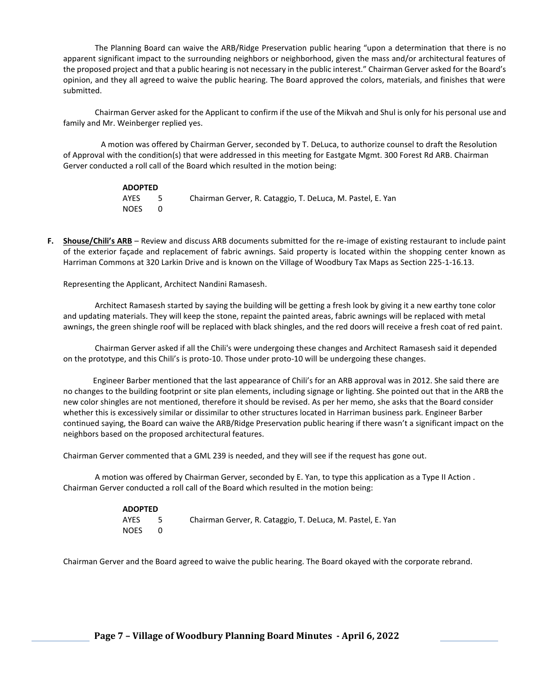The Planning Board can waive the ARB/Ridge Preservation public hearing "upon a determination that there is no apparent significant impact to the surrounding neighbors or neighborhood, given the mass and/or architectural features of the proposed project and that a public hearing is not necessary in the public interest." Chairman Gerver asked for the Board's opinion, and they all agreed to waive the public hearing. The Board approved the colors, materials, and finishes that were submitted.

Chairman Gerver asked for the Applicant to confirm if the use of the Mikvah and Shul is only for his personal use and family and Mr. Weinberger replied yes.

 A motion was offered by Chairman Gerver, seconded by T. DeLuca, to authorize counsel to draft the Resolution of Approval with the condition(s) that were addressed in this meeting for Eastgate Mgmt. 300 Forest Rd ARB. Chairman Gerver conducted a roll call of the Board which resulted in the motion being:

| <b>ADOPTED</b> |     |                                                            |
|----------------|-----|------------------------------------------------------------|
| AYES           | - 5 | Chairman Gerver, R. Cataggio, T. DeLuca, M. Pastel, E. Yan |
| <b>NOES</b>    |     |                                                            |

**F. Shouse/Chili's ARB** – Review and discuss ARB documents submitted for the re-image of existing restaurant to include paint of the exterior façade and replacement of fabric awnings. Said property is located within the shopping center known as Harriman Commons at 320 Larkin Drive and is known on the Village of Woodbury Tax Maps as Section 225-1-16.13.

Representing the Applicant, Architect Nandini Ramasesh.

Architect Ramasesh started by saying the building will be getting a fresh look by giving it a new earthy tone color and updating materials. They will keep the stone, repaint the painted areas, fabric awnings will be replaced with metal awnings, the green shingle roof will be replaced with black shingles, and the red doors will receive a fresh coat of red paint.

Chairman Gerver asked if all the Chili's were undergoing these changes and Architect Ramasesh said it depended on the prototype, and this Chili's is proto-10. Those under proto-10 will be undergoing these changes.

 Engineer Barber mentioned that the last appearance of Chili's for an ARB approval was in 2012. She said there are no changes to the building footprint or site plan elements, including signage or lighting. She pointed out that in the ARB the new color shingles are not mentioned, therefore it should be revised. As per her memo, she asks that the Board consider whether this is excessively similar or dissimilar to other structures located in Harriman business park. Engineer Barber continued saying, the Board can waive the ARB/Ridge Preservation public hearing if there wasn't a significant impact on the neighbors based on the proposed architectural features.

Chairman Gerver commented that a GML 239 is needed, and they will see if the request has gone out.

A motion was offered by Chairman Gerver, seconded by E. Yan, to type this application as a Type II Action . Chairman Gerver conducted a roll call of the Board which resulted in the motion being:

| <b>ADOPTED</b> |      |                                                            |
|----------------|------|------------------------------------------------------------|
| AYES           | $-5$ | Chairman Gerver, R. Cataggio, T. DeLuca, M. Pastel, E. Yan |
| NOES           |      |                                                            |

Chairman Gerver and the Board agreed to waive the public hearing. The Board okayed with the corporate rebrand.

**Page 7 – Village of Woodbury Planning Board Minutes - April 6, 2022**